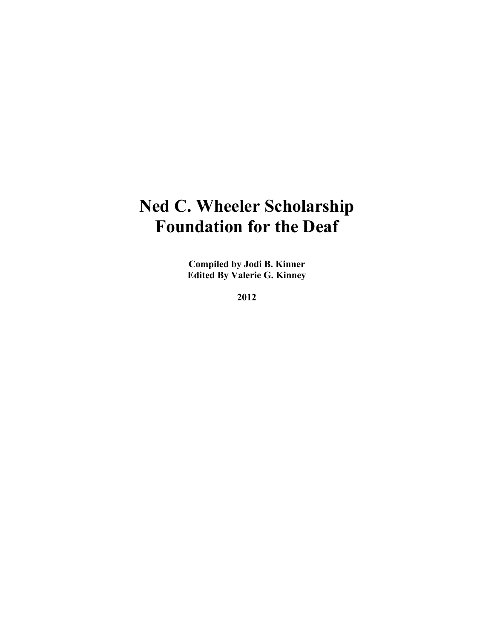## **Ned C. Wheeler Scholarship Foundation for the Deaf**

**Compiled by Jodi B. Kinner Edited By Valerie G. Kinney**

**2012**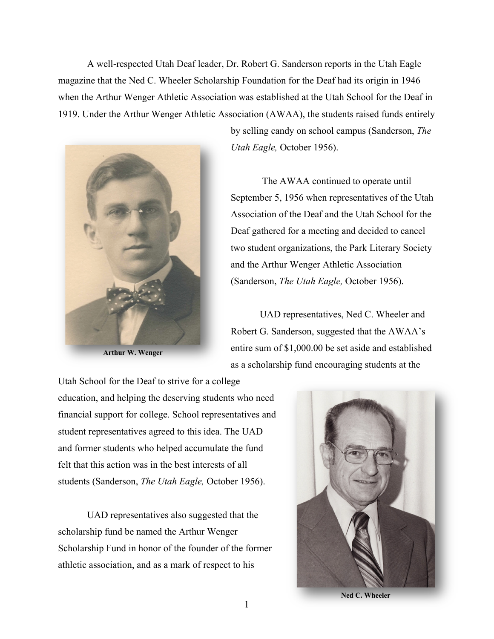A well-respected Utah Deaf leader, Dr. Robert G. Sanderson reports in the Utah Eagle magazine that the Ned C. Wheeler Scholarship Foundation for the Deaf had its origin in 1946 when the Arthur Wenger Athletic Association was established at the Utah School for the Deaf in 1919. Under the Arthur Wenger Athletic Association (AWAA), the students raised funds entirely



**Arthur W. Wenger**

by selling candy on school campus (Sanderson, *The Utah Eagle,* October 1956).

The AWAA continued to operate until September 5, 1956 when representatives of the Utah Association of the Deaf and the Utah School for the Deaf gathered for a meeting and decided to cancel two student organizations, the Park Literary Society and the Arthur Wenger Athletic Association (Sanderson, *The Utah Eagle,* October 1956).

UAD representatives, Ned C. Wheeler and Robert G. Sanderson, suggested that the AWAA's entire sum of \$1,000.00 be set aside and established as a scholarship fund encouraging students at the

Utah School for the Deaf to strive for a college education, and helping the deserving students who need financial support for college. School representatives and student representatives agreed to this idea. The UAD and former students who helped accumulate the fund felt that this action was in the best interests of all students (Sanderson, *The Utah Eagle,* October 1956).

UAD representatives also suggested that the scholarship fund be named the Arthur Wenger Scholarship Fund in honor of the founder of the former athletic association, and as a mark of respect to his



**Ned C. Wheeler**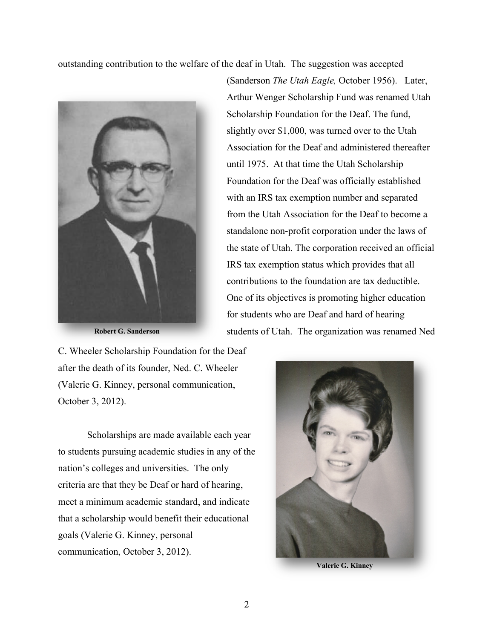outstanding contribution to the welfare of the deaf in Utah. The suggestion was accepted



**Robert G. Sanderson**

(Sanderson *The Utah Eagle,* October 1956). Later, Arthur Wenger Scholarship Fund was renamed Utah Scholarship Foundation for the Deaf. The fund, slightly over \$1,000, was turned over to the Utah Association for the Deaf and administered thereafter until 1975. At that time the Utah Scholarship Foundation for the Deaf was officially established with an IRS tax exemption number and separated from the Utah Association for the Deaf to become a standalone non-profit corporation under the laws of the state of Utah. The corporation received an official IRS tax exemption status which provides that all contributions to the foundation are tax deductible. One of its objectives is promoting higher education for students who are Deaf and hard of hearing students of Utah. The organization was renamed Ned

C. Wheeler Scholarship Foundation for the Deaf after the death of its founder, Ned. C. Wheeler (Valerie G. Kinney, personal communication, October 3, 2012).

Scholarships are made available each year to students pursuing academic studies in any of the nation's colleges and universities. The only criteria are that they be Deaf or hard of hearing, meet a minimum academic standard, and indicate that a scholarship would benefit their educational goals (Valerie G. Kinney, personal communication, October 3, 2012).



**Valerie G. Kinney**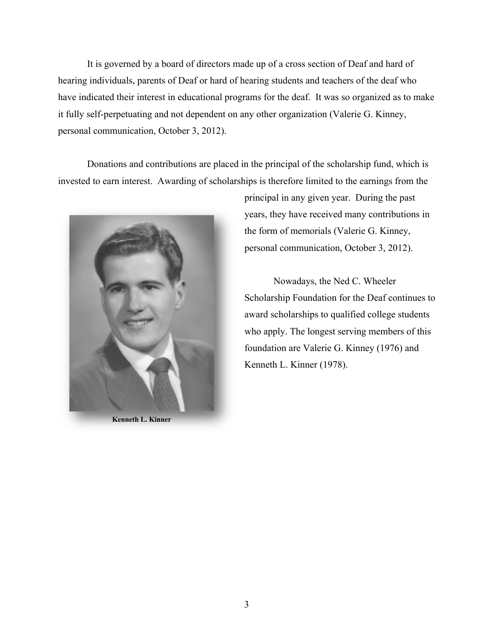It is governed by a board of directors made up of a cross section of Deaf and hard of hearing individuals, parents of Deaf or hard of hearing students and teachers of the deaf who have indicated their interest in educational programs for the deaf. It was so organized as to make it fully self-perpetuating and not dependent on any other organization (Valerie G. Kinney, personal communication, October 3, 2012).

Donations and contributions are placed in the principal of the scholarship fund, which is invested to earn interest. Awarding of scholarships is therefore limited to the earnings from the



**Kenneth L. Kinner**

principal in any given year. During the past years, they have received many contributions in the form of memorials (Valerie G. Kinney, personal communication, October 3, 2012).

Nowadays, the Ned C. Wheeler Scholarship Foundation for the Deaf continues to award scholarships to qualified college students who apply. The longest serving members of this foundation are Valerie G. Kinney (1976) and Kenneth L. Kinner (1978).